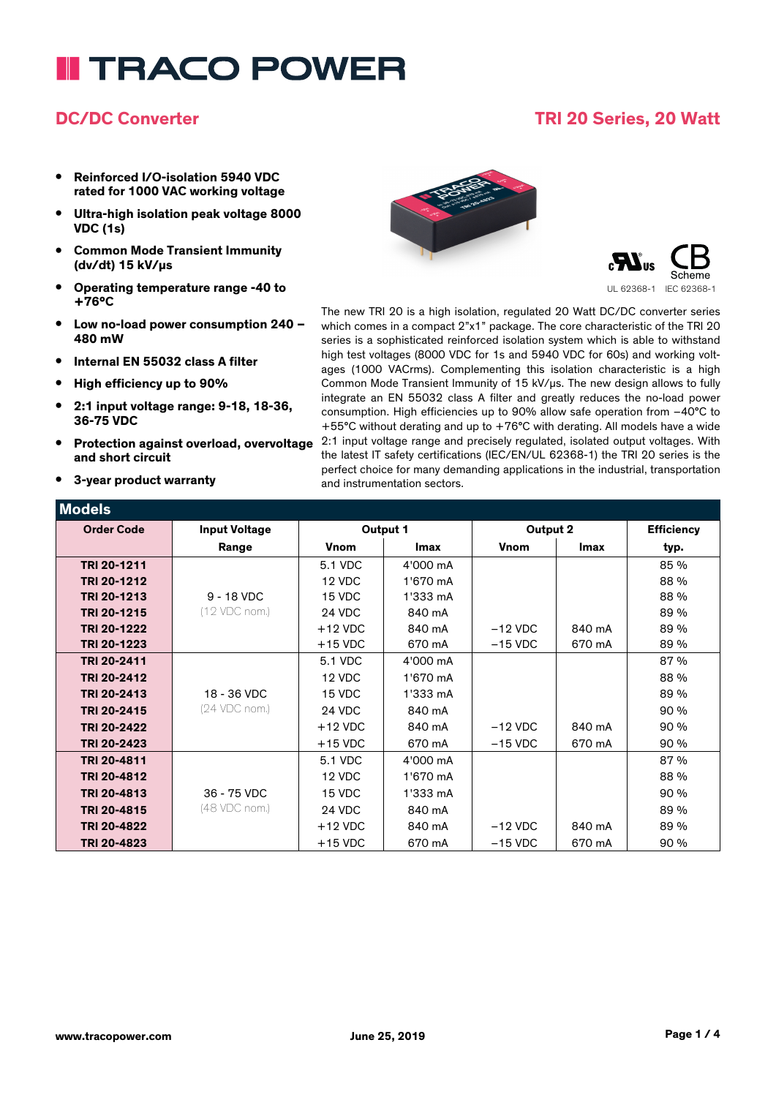# **I TRACO POWER**

### **DC/DC Converter TRI 20 Series, 20 Watt**

- **• Reinforced I/O-isolation 5940 VDC rated for 1000 VAC working voltage**
- **• Ultra-high isolation peak voltage 8000 VDC (1s)**
- **• Common Mode Transient Immunity (dv/dt) 15 kV/µs**
- **• Operating temperature range -40 to +76°C**
- **• Low no-load power consumption 240 – 480 mW**
- **• Internal EN 55032 class A filter**
- **• High efficiency up to 90%**
- **• 2:1 input voltage range: 9-18, 18-36, 36-75 VDC**
- **• Protection against overload, overvoltage and short circuit**
- **• 3-year product warranty**





The new TRI 20 is a high isolation, regulated 20 Watt DC/DC converter series which comes in a compact 2"x1" package. The core characteristic of the TRI 20 series is a sophisticated reinforced isolation system which is able to withstand high test voltages (8000 VDC for 1s and 5940 VDC for 60s) and working voltages (1000 VACrms). Complementing this isolation characteristic is a high Common Mode Transient Immunity of 15 kV/µs. The new design allows to fully integrate an EN 55032 class A filter and greatly reduces the no-load power consumption. High efficiencies up to 90% allow safe operation from –40°C to +55°C without derating and up to +76°C with derating. All models have a wide 2:1 input voltage range and precisely regulated, isolated output voltages. With the latest IT safety certifications (IEC/EN/UL 62368-1) the TRI 20 series is the perfect choice for many demanding applications in the industrial, transportation and instrumentation sectors.

| <b>Models</b>     |                      |             |             |             |             |                   |
|-------------------|----------------------|-------------|-------------|-------------|-------------|-------------------|
| <b>Order Code</b> | <b>Input Voltage</b> | Output 1    |             | Output 2    |             | <b>Efficiency</b> |
|                   | Range                | <b>Vnom</b> | <b>Imax</b> | <b>Vnom</b> | <b>Imax</b> | typ.              |
| TRI 20-1211       |                      | 5.1 VDC     | 4'000 mA    |             |             | 85 %              |
| TRI 20-1212       |                      | 12 VDC      | 1'670 mA    |             |             | 88 %              |
| TRI 20-1213       | $9 - 18$ VDC         | 15 VDC      | 1'333 mA    |             |             | 88 %              |
| TRI 20-1215       | (12 VDC nom.)        | 24 VDC      | 840 mA      |             |             | 89 %              |
| TRI 20-1222       |                      | $+12$ VDC   | 840 mA      | $-12$ VDC   | 840 mA      | 89 %              |
| TRI 20-1223       |                      | $+15$ VDC   | 670 mA      | $-15$ VDC   | 670 mA      | 89 %              |
| TRI 20-2411       |                      | 5.1 VDC     | 4'000 mA    |             |             | 87%               |
| TRI 20-2412       |                      | 12 VDC      | 1'670 mA    |             |             | 88 %              |
| TRI 20-2413       | 18 - 36 VDC          | 15 VDC      | 1'333 mA    |             |             | 89 %              |
| TRI 20-2415       | (24 VDC nom.)        | 24 VDC      | 840 mA      |             |             | 90 %              |
| TRI 20-2422       |                      | $+12$ VDC   | 840 mA      | $-12$ VDC   | 840 mA      | 90 %              |
| TRI 20-2423       |                      | $+15$ VDC   | 670 mA      | $-15$ VDC   | 670 mA      | 90 %              |
| TRI 20-4811       |                      | 5.1 VDC     | 4'000 mA    |             |             | 87%               |
| TRI 20-4812       |                      | 12 VDC      | 1'670 mA    |             |             | 88 %              |
| TRI 20-4813       | 36 - 75 VDC          | 15 VDC      | 1'333 mA    |             |             | 90 %              |
| TRI 20-4815       | (48 VDC nom.)        | 24 VDC      | 840 mA      |             |             | 89 %              |
| TRI 20-4822       |                      | $+12$ VDC   | 840 mA      | $-12$ VDC   | 840 mA      | 89 %              |
| TRI 20-4823       |                      | $+15$ VDC   | 670 mA      | $-15$ VDC   | 670 mA      | 90 %              |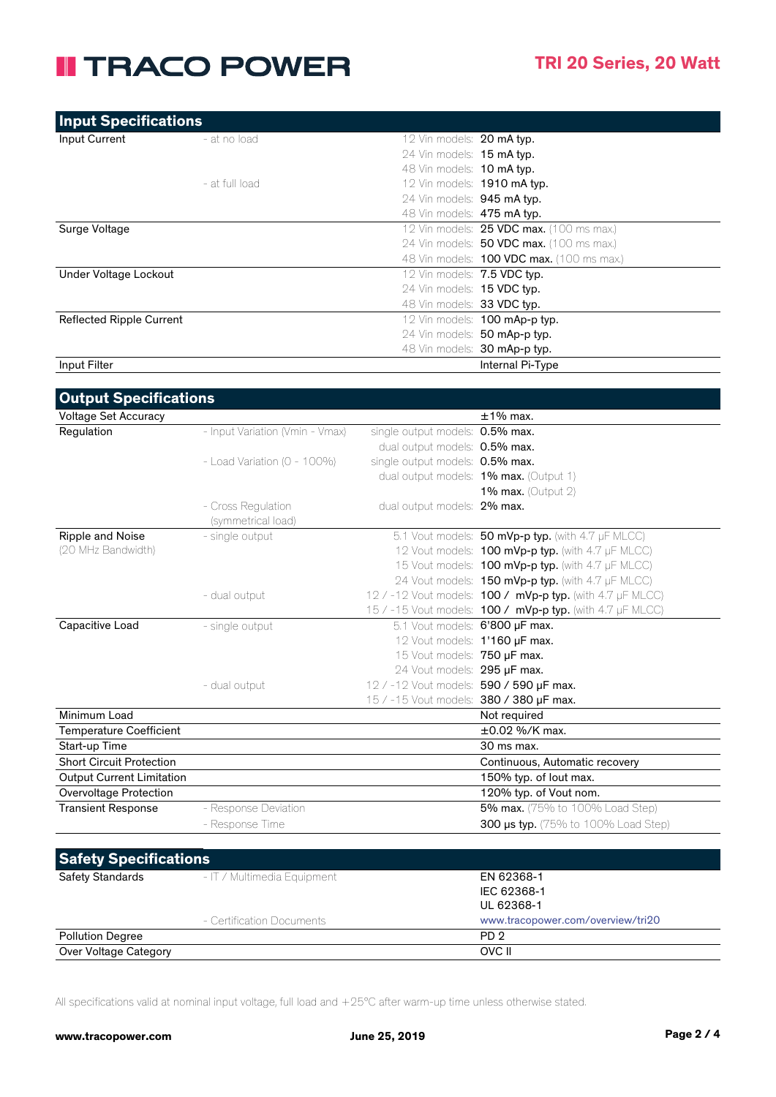## **II TRACO POWER**

| <b>Input Specifications</b>     |                |                                                  |
|---------------------------------|----------------|--------------------------------------------------|
| Input Current                   | - at no load   | 12 Vin models: 20 mA typ.                        |
|                                 |                | 24 Vin models: 15 mA typ.                        |
|                                 |                | 48 Vin models: 10 mA typ.                        |
|                                 | - at full load | 12 Vin models: <b>1910 mA typ.</b>               |
|                                 |                | 24 Vin models: 945 mA typ.                       |
|                                 |                | 48 Vin models: <b>475 mA typ.</b>                |
| Surge Voltage                   |                | 12 Vin models: <b>25 VDC max.</b> (100 ms max.)  |
|                                 |                | 24 Vin models: <b>50 VDC max.</b> (100 ms max.)  |
|                                 |                | 48 Vin models: <b>100 VDC max.</b> (100 ms max.) |
| Under Voltage Lockout           |                | 12 Vin models: 7.5 VDC typ.                      |
|                                 |                | 24 Vin models: 15 VDC typ.                       |
|                                 |                | 48 Vin models: 33 VDC typ.                       |
| <b>Reflected Ripple Current</b> |                | 12 Vin models: 100 mAp-p typ.                    |
|                                 |                | 24 Vin models: 50 mAp-p typ.                     |
|                                 |                | 48 Vin models: 30 mAp-p typ.                     |
| Input Filter                    |                | Internal Pi-Type                                 |

| <b>Output Specifications</b>     |                                 |                                         |                                                                  |
|----------------------------------|---------------------------------|-----------------------------------------|------------------------------------------------------------------|
| <b>Voltage Set Accuracy</b>      |                                 |                                         | $±1\%$ max.                                                      |
| Regulation                       | - Input Variation (Vmin - Vmax) | single output models: 0.5% max.         |                                                                  |
|                                  |                                 | dual output models: 0.5% max.           |                                                                  |
|                                  | - Load Variation (0 - 100%)     | single output models: 0.5% max.         |                                                                  |
|                                  |                                 |                                         | dual output models: <b>1% max.</b> (Output 1)                    |
|                                  |                                 |                                         | 1% max. (Output $2$ )                                            |
|                                  | - Cross Regulation              | dual output models: 2% max.             |                                                                  |
|                                  | (symmetrical load)              |                                         |                                                                  |
| Ripple and Noise                 | - single output                 |                                         | 5.1 Vout models: 50 mVp-p typ. (with 4.7 µF MLCC)                |
| (20 MHz Bandwidth)               |                                 |                                         | 12 Vout models: 100 mVp-p typ. (with 4.7 µF MLCC)                |
|                                  |                                 |                                         | 15 Vout models: 100 mVp-p typ. (with 4.7 µF MLCC)                |
|                                  |                                 |                                         | 24 Vout models: 150 mVp-p typ. (with 4.7 µF MLCC)                |
|                                  | - dual output                   |                                         | 12 / -12 Vout models: 100 / mVp-p typ. (with 4.7 µF MLCC)        |
|                                  |                                 |                                         | 15 / -15 Vout models: <b>100 / mVp-p typ.</b> (with 4.7 µF MLCC) |
| Capacitive Load                  | - single output                 | 5.1 Vout models: 6'800 µF max.          |                                                                  |
|                                  |                                 | 12 Vout models: 1'160 µF max.           |                                                                  |
|                                  |                                 | 15 Vout models: 750 µF max.             |                                                                  |
|                                  |                                 | 24 Vout models: 295 µF max.             |                                                                  |
|                                  | - dual output                   | 12 / -12 Vout models: 590 / 590 µF max. |                                                                  |
|                                  |                                 | 15 / -15 Vout models: 380 / 380 µF max. |                                                                  |
| Minimum Load                     |                                 |                                         | Not required                                                     |
| <b>Temperature Coefficient</b>   |                                 |                                         | $\pm 0.02$ %/K max.                                              |
| Start-up Time                    |                                 |                                         | 30 ms max.                                                       |
| <b>Short Circuit Protection</b>  |                                 |                                         | Continuous, Automatic recovery                                   |
| <b>Output Current Limitation</b> |                                 |                                         | 150% typ. of lout max.                                           |
| Overvoltage Protection           |                                 |                                         | 120% typ. of Vout nom.                                           |
| <b>Transient Response</b>        | - Response Deviation            |                                         | 5% max. (75% to 100% Load Step)                                  |
|                                  | - Response Time                 |                                         | <b>300 µs typ.</b> (75% to 100% Load Step)                       |
|                                  |                                 |                                         |                                                                  |
| <b>Safety Specifications</b>     |                                 |                                         |                                                                  |
| <b>Safety Standards</b>          | - IT / Multimedia Equipment     |                                         | EN 62368-1                                                       |
|                                  |                                 |                                         | IEC 62368-1                                                      |

| - Certification Documents | UL 62368-1<br>www.tracopower.com/overview/tri20 |
|---------------------------|-------------------------------------------------|
| <b>Pollution Degree</b>   | PD <sub>2</sub>                                 |
| Over Voltage Category     | OVC II                                          |

All specifications valid at nominal input voltage, full load and +25°C after warm-up time unless otherwise stated.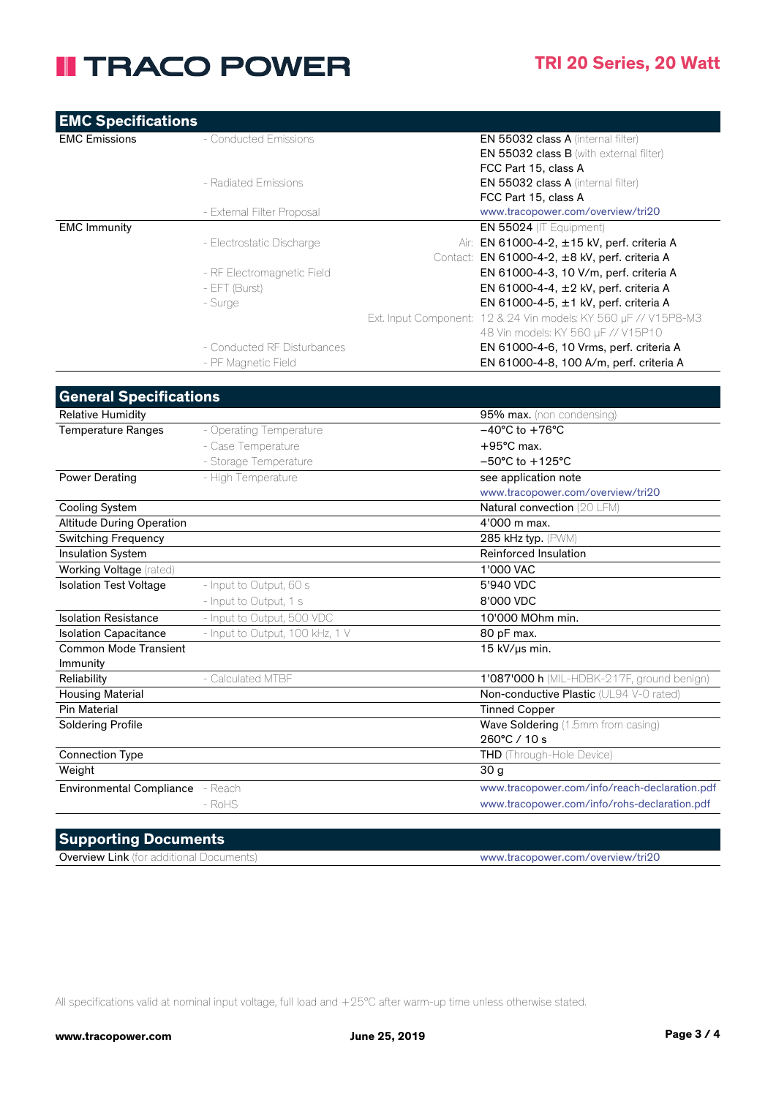### **II TRACO POWER**

| <b>EMC Specifications</b>        |                                 |                                                                 |
|----------------------------------|---------------------------------|-----------------------------------------------------------------|
| <b>EMC Emissions</b>             | - Conducted Emissions           | EN 55032 class A (internal filter)                              |
|                                  |                                 | EN 55032 class B (with external filter)                         |
|                                  |                                 | FCC Part 15, class A                                            |
|                                  | - Radiated Emissions            | EN 55032 class A (internal filter)                              |
|                                  |                                 | FCC Part 15, class A                                            |
| <b>EMC Immunity</b>              | - External Filter Proposal      | www.tracopower.com/overview/tri20<br>EN 55024 (IT Equipment)    |
|                                  | - Electrostatic Discharge       | Air: EN 61000-4-2, ±15 kV, perf. criteria A                     |
|                                  |                                 | Contact: EN 61000-4-2, ±8 kV, perf. criteria A                  |
|                                  | - RF Electromagnetic Field      | EN 61000-4-3, 10 V/m, perf. criteria A                          |
|                                  | - EFT (Burst)                   | EN 61000-4-4, ±2 kV, perf. criteria A                           |
|                                  | - Surge                         | EN 61000-4-5, ±1 kV, perf. criteria A                           |
|                                  |                                 | Ext. Input Component: 12 & 24 Vin models: KY 560 µF // V15P8-M3 |
|                                  |                                 | 48 Vin models: KY 560 µF // V15P10                              |
|                                  | - Conducted RF Disturbances     | EN 61000-4-6, 10 Vrms, perf. criteria A                         |
|                                  | - PF Magnetic Field             | EN 61000-4-8, 100 A/m, perf. criteria A                         |
|                                  |                                 |                                                                 |
| <b>General Specifications</b>    |                                 |                                                                 |
| <b>Relative Humidity</b>         |                                 | 95% max. (non condensing)                                       |
| <b>Temperature Ranges</b>        | - Operating Temperature         | $-40^{\circ}$ C to $+76^{\circ}$ C                              |
|                                  | - Case Temperature              | $+95^{\circ}$ C max.                                            |
|                                  | - Storage Temperature           | $-50^{\circ}$ C to $+125^{\circ}$ C                             |
| <b>Power Derating</b>            | - High Temperature              | see application note                                            |
|                                  |                                 | www.tracopower.com/overview/tri20                               |
| <b>Cooling System</b>            |                                 | Natural convection (20 LFM)                                     |
| <b>Altitude During Operation</b> |                                 | 4'000 m max.                                                    |
| <b>Switching Frequency</b>       |                                 | 285 kHz typ. (PWM)                                              |
| Insulation System                |                                 | Reinforced Insulation                                           |
| Working Voltage (rated)          |                                 | 1'000 VAC                                                       |
| <b>Isolation Test Voltage</b>    | - Input to Output, 60 s         | 5'940 VDC                                                       |
|                                  | - Input to Output, 1 s          | 8'000 VDC                                                       |
| <b>Isolation Resistance</b>      | - Input to Output, 500 VDC      | 10'000 MOhm min.                                                |
| <b>Isolation Capacitance</b>     | - Input to Output, 100 kHz, 1 V | 80 pF max.                                                      |
| <b>Common Mode Transient</b>     |                                 | 15 kV/µs min.                                                   |
| Immunity                         |                                 |                                                                 |
| Reliability                      | - Calculated MTBF               | 1'087'000 h (MIL-HDBK-217F, ground benign)                      |
| <b>Housing Material</b>          |                                 | Non-conductive Plastic (UL94 V-0 rated)                         |
| <b>Pin Material</b>              |                                 | <b>Tinned Copper</b>                                            |
| <b>Soldering Profile</b>         |                                 | Wave Soldering (1.5mm from casing)                              |
|                                  |                                 | 260°C / 10 s                                                    |
| <b>Connection Type</b><br>Weight |                                 | <b>THD</b> (Through-Hole Device)                                |
|                                  |                                 | 30 <sub>g</sub>                                                 |
| <b>Environmental Compliance</b>  | - Reach                         | www.tracopower.com/info/reach-declaration.pdf                   |
|                                  | $-RoHS$                         | www.tracopower.com/info/rohs-declaration.pdf                    |

#### **Supporting Documents**

Overview Link (for additional Documents) www.tracopower.com/overview/tri20

All specifications valid at nominal input voltage, full load and +25°C after warm-up time unless otherwise stated.